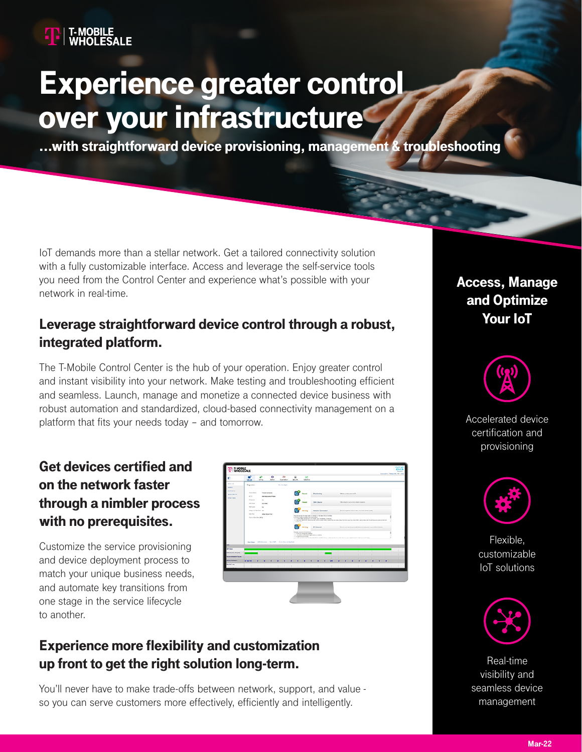# Experience greater control over your infrastructure

...with straightforward device provisioning, management & troubleshooting

IoT demands more than a stellar network. Get a tailored connectivity solution with a fully customizable interface. Access and leverage the self-service tools you need from the Control Center and experience what's possible with your network in real-time.

### Leverage straightforward device control through a robust, integrated platform.

The T-Mobile Control Center is the hub of your operation. Enjoy greater control and instant visibility into your network. Make testing and troubleshooting efficient and seamless. Launch, manage and monetize a connected device business with robust automation and standardized, cloud-based connectivity management on a platform that fits your needs today – and tomorrow.

### Get devices certified and on the network faster through a nimbler process with no prerequisites.

Customize the service provisioning and device deployment process to match your unique business needs, and automate key transitions from one stage in the service lifecycle to another.

| æ                                                                     | <b>Centres</b>                                                                                                                                 | ô<br><b>Diling</b>                                  | ۰<br>Admin. | ٠<br>Advertise.      |           | ٠<br>Security                                                                                                                                                                                                                                                                                                                                                                      | <b>I</b> and<br>Anderson                                                          |                                                |                                                                                                                                  |                 |                                         |             |  |   |  |  |   |
|-----------------------------------------------------------------------|------------------------------------------------------------------------------------------------------------------------------------------------|-----------------------------------------------------|-------------|----------------------|-----------|------------------------------------------------------------------------------------------------------------------------------------------------------------------------------------------------------------------------------------------------------------------------------------------------------------------------------------------------------------------------------------|-----------------------------------------------------------------------------------|------------------------------------------------|----------------------------------------------------------------------------------------------------------------------------------|-----------------|-----------------------------------------|-------------|--|---|--|--|---|
| <b>Despite Link</b><br>Legislate                                      | Degreenes                                                                                                                                      |                                                     |             | <b>But for Assn.</b> |           |                                                                                                                                                                                                                                                                                                                                                                                    |                                                                                   |                                                |                                                                                                                                  |                 |                                         |             |  |   |  |  |   |
| <b>BAS INTAK</b><br><b>Bullet War Free</b><br><b>Educational</b><br>м | Dealer Status<br>vice.                                                                                                                         | <b>Process Toracac</b><br><b>ENTERATURES/VISUAL</b> |             |                      |           |                                                                                                                                                                                                                                                                                                                                                                                    | Previsioning                                                                      |                                                |                                                                                                                                  | Was promotively |                                         |             |  |   |  |  |   |
|                                                                       | <b>K Security</b><br>$\sim$<br><b>MYRHA</b><br>8.8.494                                                                                         |                                                     |             |                      |           |                                                                                                                                                                                                                                                                                                                                                                                    |                                                                                   |                                                | Stat / Details<br>Mile allowed to your services reduced managers.                                                                |                 |                                         |             |  |   |  |  |   |
|                                                                       | <b>King Business</b><br><b>Select</b><br><b>University Resident Au</b><br><b>Bally Plant</b><br><b>MARGARET</b><br>Carlo to Data Callo, Millig |                                                     |             |                      |           |                                                                                                                                                                                                                                                                                                                                                                                    | <b>STEW</b>                                                                       | <b>Natural Contraction</b>                     |                                                                                                                                  |                 | Department book for a bit with mile and |             |  |   |  |  |   |
|                                                                       |                                                                                                                                                |                                                     |             |                      |           | that begin has not been also to come the the helping surrounding.<br>Contras clair to couter the box military<br>a Coston that the desire is a 4 Poiser cur's the decks if possible.<br>. So it as that is the dealer excite Control Center of the world flair you have Carter for the cash on about 1971, but perhaps will format become practice the filter better<br>Parameter. |                                                                                   |                                                |                                                                                                                                  |                 |                                         |             |  |   |  |  |   |
|                                                                       |                                                                                                                                                |                                                     |             |                      |           | Margaret                                                                                                                                                                                                                                                                                                                                                                           | <b>P</b> Catalog                                                                  |                                                | Descriptions of any of both The engine completes beams.                                                                          |                 |                                         |             |  |   |  |  |   |
|                                                                       |                                                                                                                                                | <b>Northean Minimums Northean Concentrations</b>    |             |                      |           |                                                                                                                                                                                                                                                                                                                                                                                    | Rooth county to bechings<br>L. Affilia compositionary<br>a <i>Parrona process</i> | a The America contacts appropriate to be held. | a Contractor & A Schwartership WRS - Backets draws contractor of patients and a factor and a final contractor funeral contractor |                 |                                         |             |  |   |  |  |   |
| <b>Wilder</b><br><b>Adventure Argent</b>                              |                                                                                                                                                |                                                     |             |                      |           |                                                                                                                                                                                                                                                                                                                                                                                    |                                                                                   |                                                |                                                                                                                                  |                 |                                         |             |  |   |  |  |   |
| <b>CONTRACTOR</b>                                                     |                                                                                                                                                |                                                     |             |                      | a s<br>m. |                                                                                                                                                                                                                                                                                                                                                                                    |                                                                                   | -1971<br>n.                                    |                                                                                                                                  |                 |                                         |             |  |   |  |  |   |
| <b><i><u><i><u><b>RANA Acharcho</b></u>ns</i></u></i></b>             | ---                                                                                                                                            |                                                     |             |                      |           |                                                                                                                                                                                                                                                                                                                                                                                    |                                                                                   |                                                |                                                                                                                                  |                 |                                         |             |  |   |  |  |   |
| <b>Back Avenue</b>                                                    | ٠                                                                                                                                              | the control of the control of the                   |             | <b>TANKS</b>         |           |                                                                                                                                                                                                                                                                                                                                                                                    |                                                                                   |                                                |                                                                                                                                  |                 |                                         | <b>TILL</b> |  | m |  |  | w |
|                                                                       |                                                                                                                                                |                                                     |             |                      |           |                                                                                                                                                                                                                                                                                                                                                                                    |                                                                                   |                                                |                                                                                                                                  |                 |                                         |             |  |   |  |  |   |
|                                                                       |                                                                                                                                                |                                                     |             |                      |           |                                                                                                                                                                                                                                                                                                                                                                                    |                                                                                   |                                                |                                                                                                                                  |                 |                                         |             |  |   |  |  |   |
|                                                                       |                                                                                                                                                |                                                     |             |                      |           |                                                                                                                                                                                                                                                                                                                                                                                    |                                                                                   |                                                |                                                                                                                                  |                 |                                         |             |  |   |  |  |   |
|                                                                       |                                                                                                                                                |                                                     |             |                      |           |                                                                                                                                                                                                                                                                                                                                                                                    |                                                                                   |                                                |                                                                                                                                  |                 |                                         |             |  |   |  |  |   |

### Experience more flexibility and customization up front to get the right solution long-term.

You'll never have to make trade-offs between network, support, and value so you can serve customers more effectively, efficiently and intelligently.

### Access, Manage and Optimize Your IoT



Accelerated device certification and provisioning



Flexible, customizable IoT solutions



Real-time visibility and seamless device management